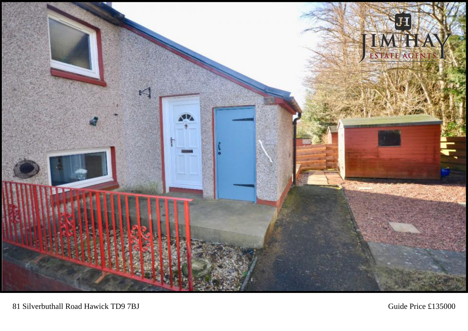

81 Silverbuthall Road Hawick TD9 7BJ Guide Price £135000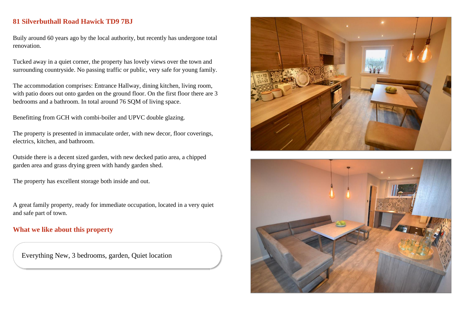## **81 Silverbuthall Road Hawick TD9 7BJ**

Buily around 60 years ago by the local authority, but recently has undergone total renovation.

Tucked away in a quiet corner, the property has lovely views over the town and surrounding countryside. No passing traffic or public, very safe for young family.

The accommodation comprises: Entrance Hallway, dining kitchen, living room, with patio doors out onto garden on the ground floor. On the first floor there are 3 bedrooms and a bathroom. In total around 76 SQM of living space.

Benefitting from GCH with combi-boiler and UPVC double glazing.

The property is presented in immaculate order, with new decor, floor coverings, electrics, kitchen, and bathroom.

Outside there is a decent sized garden, with new decked patio area, a chipped garden area and grass drying green with handy garden shed.

The property has excellent storage both inside and out.

A great family property, ready for immediate occupation, located in a very quiet and safe part of town.

## **What we like about this property**

Everything New, 3 bedrooms, garden, Quiet location



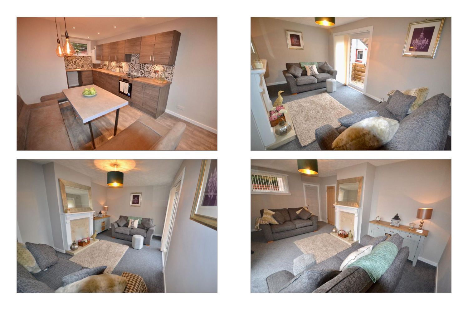